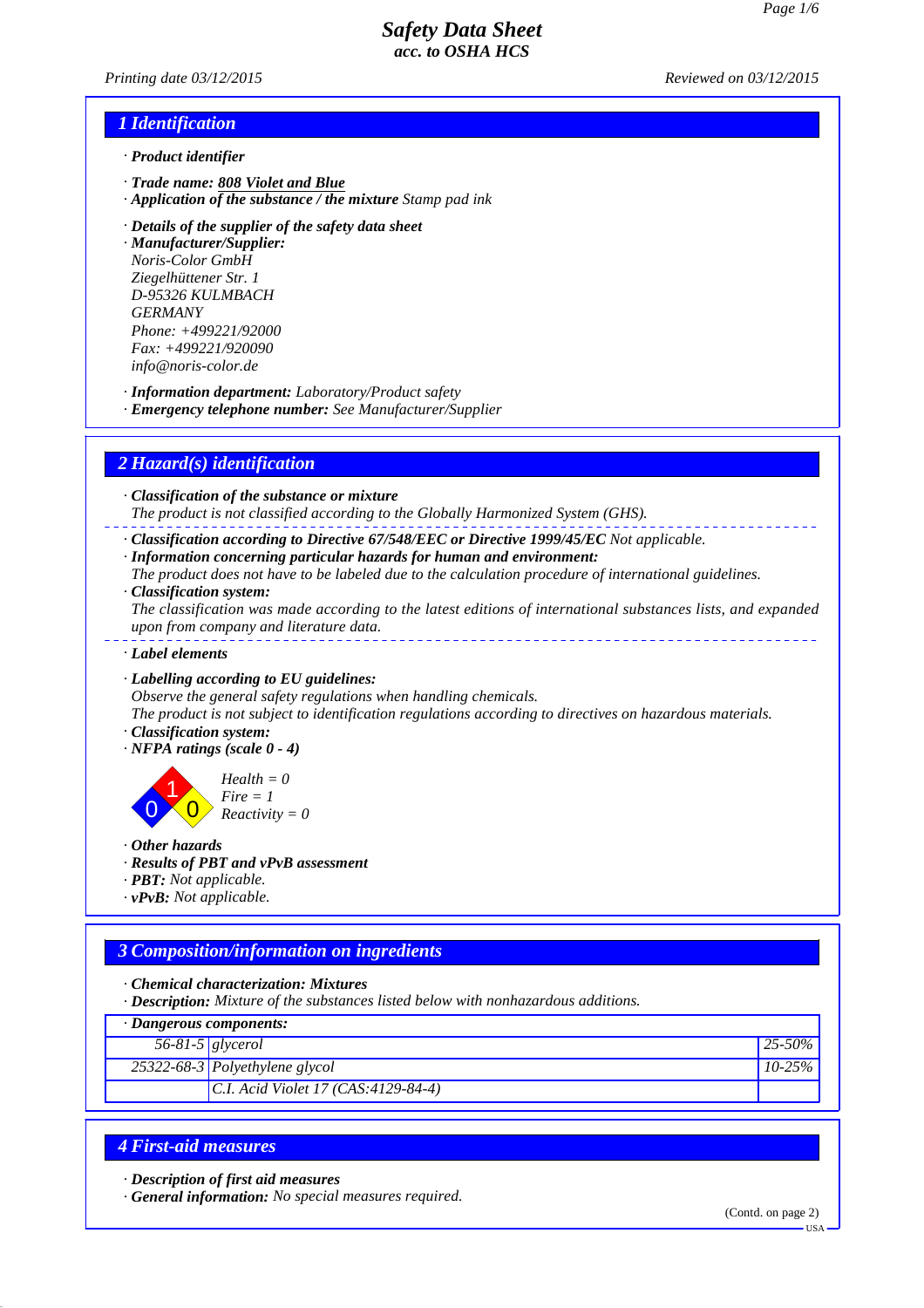*Printing date 03/12/2015 Reviewed on 03/12/2015*

# *1 Identification*

- *· Product identifier*
- *· Trade name: 808 Violet and Blue*
- *· Application of the substance / the mixture Stamp pad ink*
- *· Details of the supplier of the safety data sheet*

*· Manufacturer/Supplier: Noris-Color GmbH Ziegelhüttener Str. 1 D-95326 KULMBACH GERMANY Phone: +499221/92000 Fax: +499221/920090 info@noris-color.de*

*· Information department: Laboratory/Product safety*

*· Emergency telephone number: See Manufacturer/Supplier*

# *2 Hazard(s) identification*

*· Classification of the substance or mixture*

*The product is not classified according to the Globally Harmonized System (GHS).*

- *· Classification according to Directive 67/548/EEC or Directive 1999/45/EC Not applicable.*
- *· Information concerning particular hazards for human and environment:*

*The product does not have to be labeled due to the calculation procedure of international guidelines.*

*· Classification system:*

*The classification was made according to the latest editions of international substances lists, and expanded upon from company and literature data.*

- *· Label elements*
- *· Labelling according to EU guidelines:*

*Observe the general safety regulations when handling chemicals.*

*The product is not subject to identification regulations according to directives on hazardous materials.*

- *· Classification system:*
- *· NFPA ratings (scale 0 4)*

0 1  $\overline{0}$ 

*Health = 0 Fire = 1 Reactivity = 0*

*· Other hazards*

- *· Results of PBT and vPvB assessment*
- *· PBT: Not applicable.*
- *· vPvB: Not applicable.*

#### *3 Composition/information on ingredients*

*· Chemical characterization: Mixtures*

*· Description: Mixture of the substances listed below with nonhazardous additions.*

| $\cdot$ Dangerous components: |                                                 |             |
|-------------------------------|-------------------------------------------------|-------------|
| $56-81-5$ glycerol            |                                                 | $ 25-50\% $ |
|                               | $\sqrt{25322-68}$ -3 Polyethylene glycol        | $10-25%$    |
|                               | $ C.I. \text{ Acid Violet } 17 (CAS.4129-84-4)$ |             |

#### *4 First-aid measures*

*· Description of first aid measures*

*· General information: No special measures required.*

(Contd. on page 2)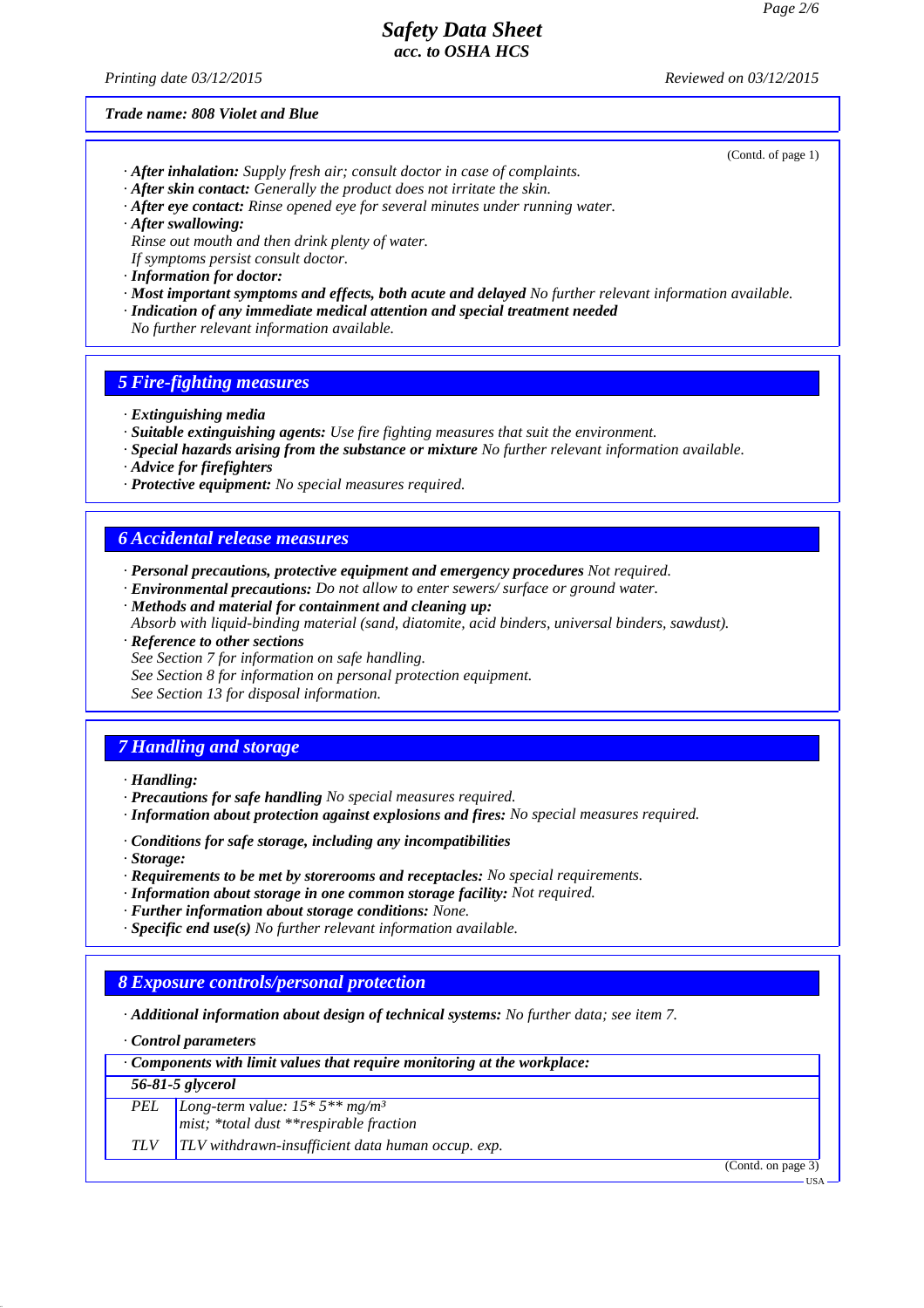*Printing date 03/12/2015 Reviewed on 03/12/2015*

*Trade name: 808 Violet and Blue*

- (Contd. of page 1)
- *· After inhalation: Supply fresh air; consult doctor in case of complaints. · After skin contact: Generally the product does not irritate the skin.*
- *· After eye contact: Rinse opened eye for several minutes under running water.*
- *· After swallowing:*
- *Rinse out mouth and then drink plenty of water.*
- *If symptoms persist consult doctor.*
- *· Information for doctor:*
- *· Most important symptoms and effects, both acute and delayed No further relevant information available.*
- *· Indication of any immediate medical attention and special treatment needed*
- *No further relevant information available.*

## *5 Fire-fighting measures*

- *· Extinguishing media*
- *· Suitable extinguishing agents: Use fire fighting measures that suit the environment.*
- *· Special hazards arising from the substance or mixture No further relevant information available.*
- *· Advice for firefighters*
- *· Protective equipment: No special measures required.*

#### *6 Accidental release measures*

- *· Personal precautions, protective equipment and emergency procedures Not required.*
- *· Environmental precautions: Do not allow to enter sewers/ surface or ground water.*
- *· Methods and material for containment and cleaning up: Absorb with liquid-binding material (sand, diatomite, acid binders, universal binders, sawdust).*
- *· Reference to other sections*
- *See Section 7 for information on safe handling.*
- *See Section 8 for information on personal protection equipment.*
- *See Section 13 for disposal information.*

#### *7 Handling and storage*

- *· Handling:*
- *· Precautions for safe handling No special measures required.*
- *· Information about protection against explosions and fires: No special measures required.*
- *· Conditions for safe storage, including any incompatibilities*
- *· Storage:*
- *· Requirements to be met by storerooms and receptacles: No special requirements.*
- *· Information about storage in one common storage facility: Not required.*
- *· Further information about storage conditions: None.*
- *· Specific end use(s) No further relevant information available.*

#### *8 Exposure controls/personal protection*

*· Additional information about design of technical systems: No further data; see item 7.*

*· Control parameters*

| $\cdot$ Components with limit values that require monitoring at the workplace: |                                                     |
|--------------------------------------------------------------------------------|-----------------------------------------------------|
|                                                                                | 56-81-5 glycerol                                    |
|                                                                                | <b>PEL</b> <i>Long-term value:</i> $15 * 5**mg/m^3$ |
|                                                                                | mist; *total dust **respirable fraction             |

*TLV TLV withdrawn-insufficient data human occup. exp.*

(Contd. on page 3)

USA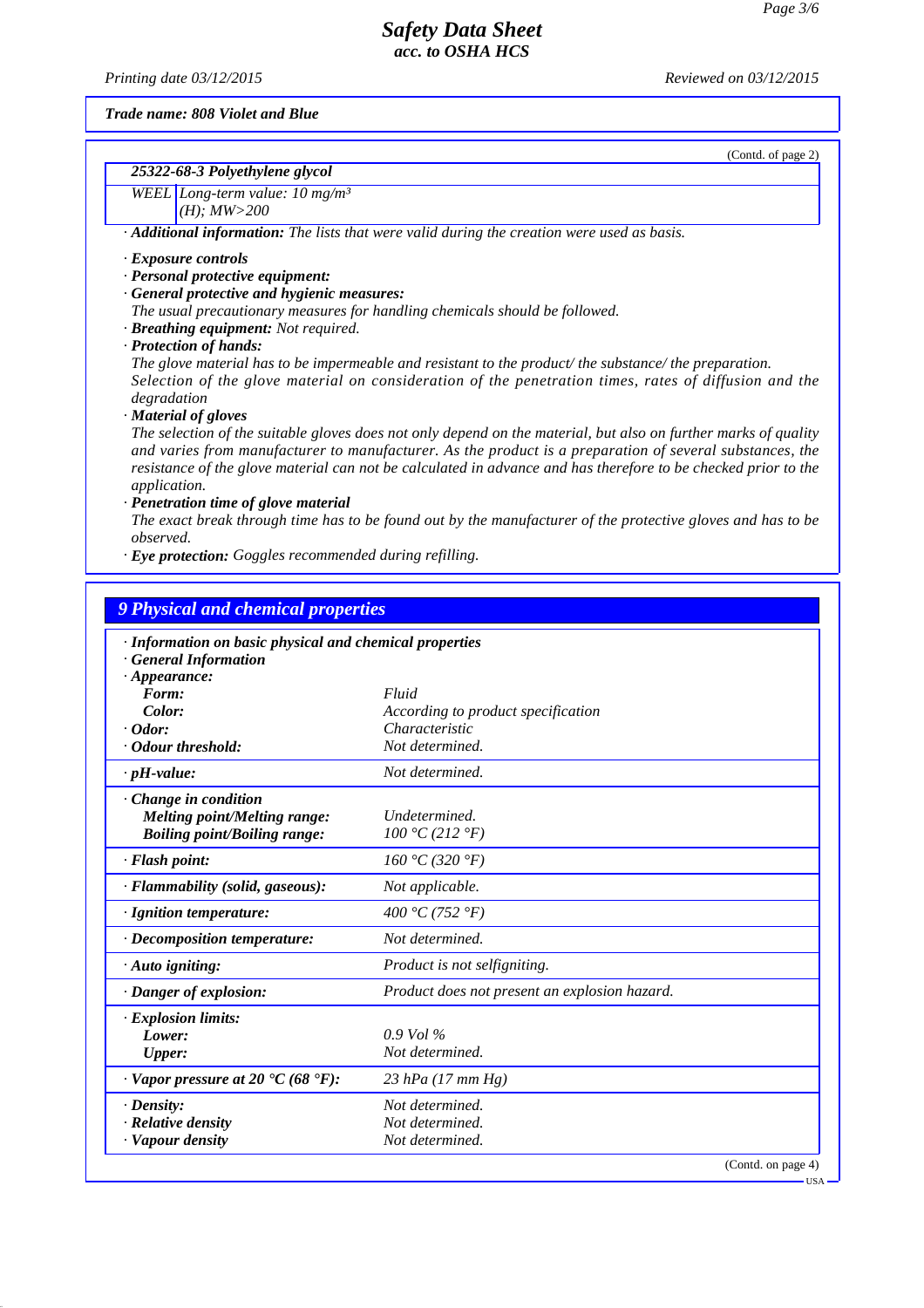*Printing date 03/12/2015 Reviewed on 03/12/2015*

(Contd. of page 2)

*Trade name: 808 Violet and Blue*

| 25322-68-3 Polyethylene glycol |  |
|--------------------------------|--|
|                                |  |

*WEEL Long-term value: 10 mg/m³ (H); MW>200*

*· Additional information: The lists that were valid during the creation were used as basis.*

#### *· Exposure controls*

- *· Personal protective equipment:*
- *· General protective and hygienic measures:*
- *The usual precautionary measures for handling chemicals should be followed.*
- *· Breathing equipment: Not required.*
- *· Protection of hands:*

*The glove material has to be impermeable and resistant to the product/ the substance/ the preparation. Selection of the glove material on consideration of the penetration times, rates of diffusion and the degradation*

*· Material of gloves*

*The selection of the suitable gloves does not only depend on the material, but also on further marks of quality and varies from manufacturer to manufacturer. As the product is a preparation of several substances, the resistance of the glove material can not be calculated in advance and has therefore to be checked prior to the application.*

*· Penetration time of glove material*

*The exact break through time has to be found out by the manufacturer of the protective gloves and has to be observed.*

*· Eye protection: Goggles recommended during refilling.*

| · Information on basic physical and chemical properties            |                                               |  |
|--------------------------------------------------------------------|-----------------------------------------------|--|
| <b>General Information</b>                                         |                                               |  |
| $\cdot$ Appearance:                                                |                                               |  |
| Form:                                                              | Fluid                                         |  |
| Color:                                                             | According to product specification            |  |
| $\cdot$ Odor:                                                      | Characteristic                                |  |
| Odour threshold:                                                   | Not determined.                               |  |
| $\cdot$ pH-value:                                                  | Not determined.                               |  |
| Change in condition                                                |                                               |  |
| Melting point/Melting range:                                       | Undetermined.                                 |  |
| <b>Boiling point/Boiling range:</b>                                | 100 °C (212 °F)                               |  |
| · Flash point:                                                     | 160 °C (320 °F)                               |  |
| · Flammability (solid, gaseous):                                   | Not applicable.                               |  |
| · Ignition temperature:                                            | 400 °C (752 °F)                               |  |
| $\cdot$ Decomposition temperature:                                 | Not determined.                               |  |
| · Auto igniting:                                                   | Product is not selfigniting.                  |  |
| · Danger of explosion:                                             | Product does not present an explosion hazard. |  |
| · Explosion limits:                                                |                                               |  |
| Lower:                                                             | $0.9$ Vol %                                   |  |
| <b>Upper:</b>                                                      | Not determined.                               |  |
| $\cdot$ Vapor pressure at 20 $\textdegree$ C (68 $\textdegree$ F): | 23 hPa (17 mm Hg)                             |  |
| $\cdot$ Density:                                                   | Not determined.                               |  |
| · Relative density                                                 | Not determined.                               |  |
| · Vapour density                                                   | Not determined.                               |  |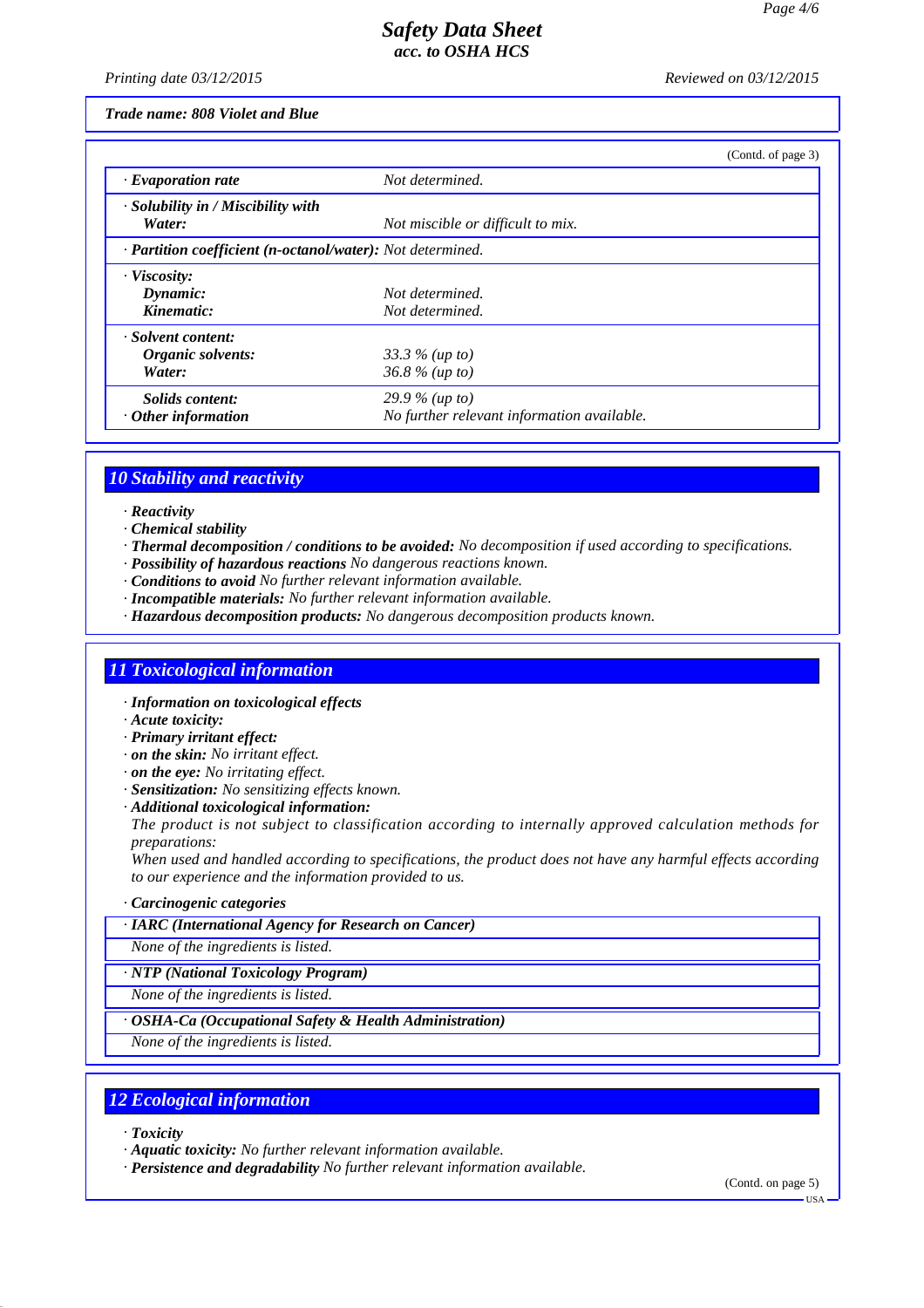*Printing date 03/12/2015 Reviewed on 03/12/2015*

*Trade name: 808 Violet and Blue*

|                                                            |                                            | (Contd. of page 3) |
|------------------------------------------------------------|--------------------------------------------|--------------------|
| $\cdot$ Evaporation rate                                   | Not determined.                            |                    |
| · Solubility in / Miscibility with<br>Water:               | Not miscible or difficult to mix.          |                    |
| · Partition coefficient (n-octanol/water): Not determined. |                                            |                    |
| · Viscosity:                                               |                                            |                    |
| Dynamic:                                                   | Not determined.                            |                    |
| Kinematic:                                                 | Not determined.                            |                    |
| · Solvent content:                                         |                                            |                    |
| Organic solvents:                                          | 33.3 $%$ (up to)                           |                    |
| Water:                                                     | $36.8 \%$ (up to)                          |                    |
| Solids content:                                            | 29.9 % (up to)                             |                    |
| $\cdot$ Other information                                  | No further relevant information available. |                    |

#### *10 Stability and reactivity*

- *· Reactivity*
- *· Chemical stability*
- *· Thermal decomposition / conditions to be avoided: No decomposition if used according to specifications.*
- *· Possibility of hazardous reactions No dangerous reactions known.*
- *· Conditions to avoid No further relevant information available.*
- *· Incompatible materials: No further relevant information available.*
- *· Hazardous decomposition products: No dangerous decomposition products known.*

# *11 Toxicological information*

- *· Information on toxicological effects*
- *· Acute toxicity:*
- *· Primary irritant effect:*
- *· on the skin: No irritant effect.*
- *· on the eye: No irritating effect.*
- *· Sensitization: No sensitizing effects known.*
- *· Additional toxicological information:*
- *The product is not subject to classification according to internally approved calculation methods for preparations:*

*When used and handled according to specifications, the product does not have any harmful effects according to our experience and the information provided to us.*

#### *· Carcinogenic categories*

#### *· IARC (International Agency for Research on Cancer)*

*None of the ingredients is listed.*

*· NTP (National Toxicology Program)*

*None of the ingredients is listed.*

#### *· OSHA-Ca (Occupational Safety & Health Administration)*

*None of the ingredients is listed.*

#### *12 Ecological information*

- *· Toxicity*
- *· Aquatic toxicity: No further relevant information available.*
- *· Persistence and degradability No further relevant information available.*

(Contd. on page 5)

USA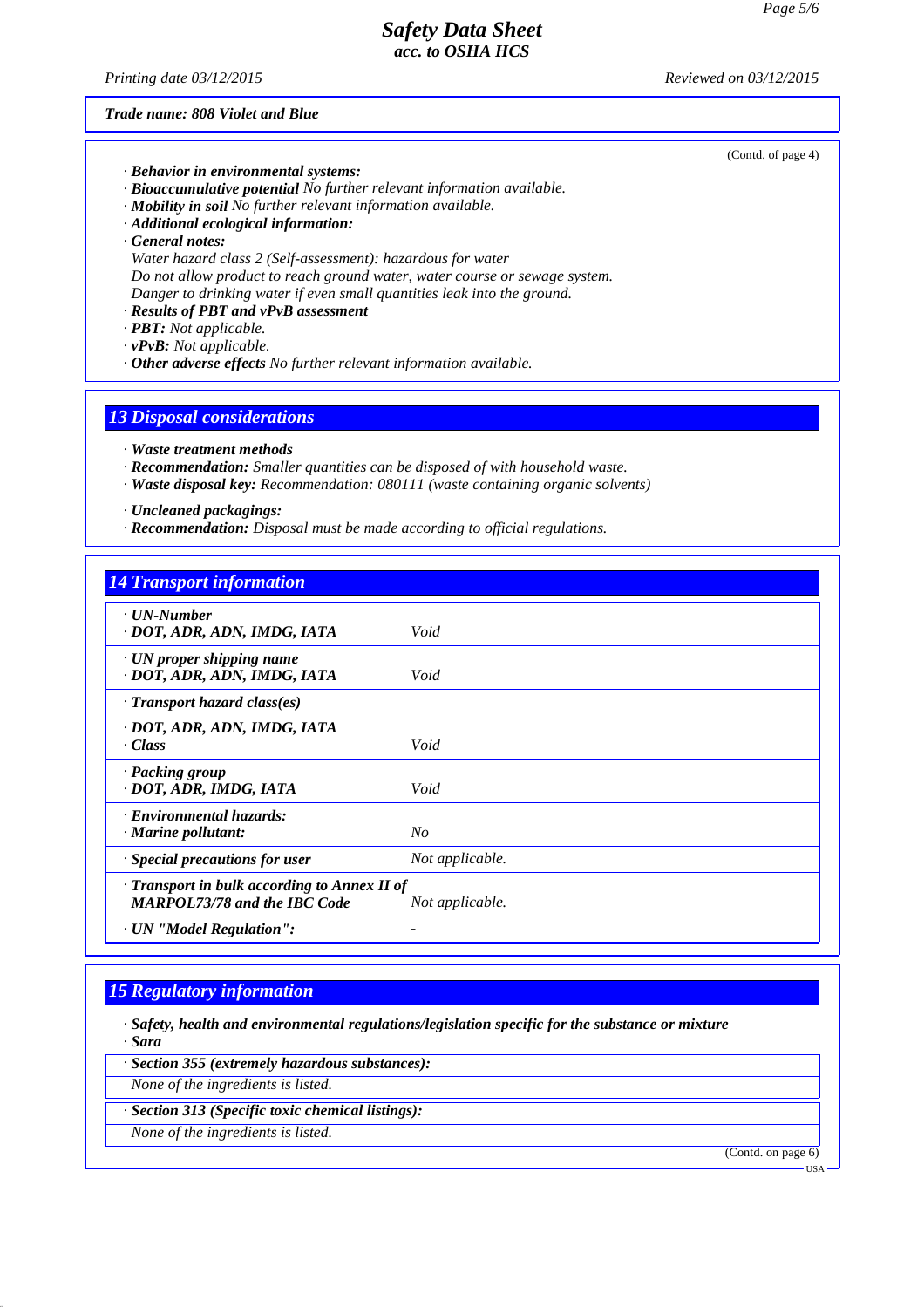*Printing date 03/12/2015 Reviewed on 03/12/2015*

(Contd. of page 4)

*Trade name: 808 Violet and Blue*

*· Behavior in environmental systems:*

- *· Bioaccumulative potential No further relevant information available.*
- *· Mobility in soil No further relevant information available.*
- *· Additional ecological information:*
- *· General notes:*
- *Water hazard class 2 (Self-assessment): hazardous for water*
- *Do not allow product to reach ground water, water course or sewage system.*
- *Danger to drinking water if even small quantities leak into the ground.*
- *· Results of PBT and vPvB assessment*
- *· PBT: Not applicable.*
- *· vPvB: Not applicable.*
- *· Other adverse effects No further relevant information available.*

#### *13 Disposal considerations*

- *· Waste treatment methods*
- *· Recommendation: Smaller quantities can be disposed of with household waste.*
- *· Waste disposal key: Recommendation: 080111 (waste containing organic solvents)*

*· Uncleaned packagings:*

*· Recommendation: Disposal must be made according to official regulations.*

#### *14 Transport information*

| $\cdot$ UN-Number<br>· DOT, ADR, ADN, IMDG, IATA                                    | Void            |
|-------------------------------------------------------------------------------------|-----------------|
| $\cdot$ UN proper shipping name<br>· DOT, ADR, ADN, IMDG, IATA                      | Void            |
| · Transport hazard class(es)                                                        |                 |
| · DOT, ADR, ADN, IMDG, IATA<br>$\cdot Class$                                        | Void            |
| · Packing group<br>· DOT, ADR, IMDG, IATA                                           | Void            |
| · Environmental hazards:<br>$\cdot$ Marine pollutant:                               | $N_{O}$         |
| · Special precautions for user                                                      | Not applicable. |
| · Transport in bulk according to Annex II of<br><b>MARPOL73/78 and the IBC Code</b> | Not applicable. |
| · UN "Model Regulation":                                                            |                 |

#### *15 Regulatory information*

*· Safety, health and environmental regulations/legislation specific for the substance or mixture · Sara*

*· Section 355 (extremely hazardous substances):*

*None of the ingredients is listed.*

*· Section 313 (Specific toxic chemical listings):*

*None of the ingredients is listed.*

(Contd. on page 6)

USA